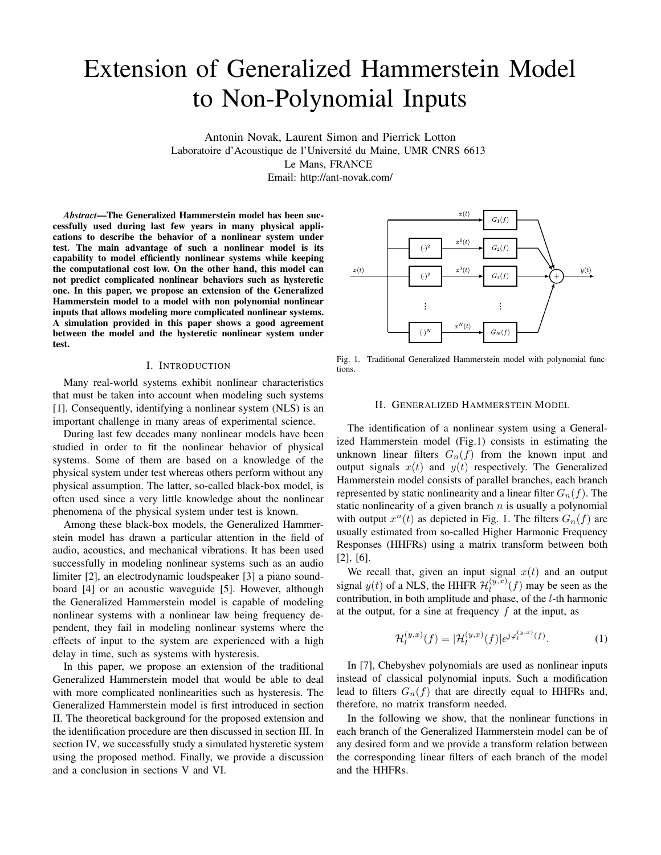# Extension of Generalized Hammerstein Model to Non-Polynomial Inputs

Antonin Novak, Laurent Simon and Pierrick Lotton Laboratoire d'Acoustique de l'Université du Maine, UMR CNRS 6613 Le Mans, FRANCE Email: http://ant-novak.com/

*Abstract***—The Generalized Hammerstein model has been successfully used during last few years in many physical applications to describe the behavior of a nonlinear system under test. The main advantage of such a nonlinear model is its capability to model efficiently nonlinear systems while keeping the computational cost low. On the other hand, this model can not predict complicated nonlinear behaviors such as hysteretic one. In this paper, we propose an extension of the Generalized Hammerstein model to a model with non polynomial nonlinear inputs that allows modeling more complicated nonlinear systems. A simulation provided in this paper shows a good agreement between the model and the hysteretic nonlinear system under test.**

#### I. INTRODUCTION

Many real-world systems exhibit nonlinear characteristics that must be taken into account when modeling such systems [1]. Consequently, identifying a nonlinear system (NLS) is an important challenge in many areas of experimental science.

During last few decades many nonlinear models have been studied in order to fit the nonlinear behavior of physical systems. Some of them are based on a knowledge of the physical system under test whereas others perform without any physical assumption. The latter, so-called black-box model, is often used since a very little knowledge about the nonlinear phenomena of the physical system under test is known.

Among these black-box models, the Generalized Hammerstein model has drawn a particular attention in the field of audio, acoustics, and mechanical vibrations. It has been used successfully in modeling nonlinear systems such as an audio limiter [2], an electrodynamic loudspeaker [3] a piano soundboard [4] or an acoustic waveguide [5]. However, although the Generalized Hammerstein model is capable of modeling nonlinear systems with a nonlinear law being frequency dependent, they fail in modeling nonlinear systems where the effects of input to the system are experienced with a high delay in time, such as systems with hysteresis.

In this paper, we propose an extension of the traditional Generalized Hammerstein model that would be able to deal with more complicated nonlinearities such as hysteresis. The Generalized Hammerstein model is first introduced in section II. The theoretical background for the proposed extension and the identification procedure are then discussed in section III. In section IV, we successfully study a simulated hysteretic system using the proposed method. Finally, we provide a discussion and a conclusion in sections V and VI.



Fig. 1. Traditional Generalized Hammerstein model with polynomial functions

#### II. GENERALIZED HAMMERSTEIN MODEL

The identification of a nonlinear system using a Generalized Hammerstein model (Fig.1) consists in estimating the unknown linear filters  $G_n(f)$  from the known input and output signals  $x(t)$  and  $y(t)$  respectively. The Generalized Hammerstein model consists of parallel branches, each branch represented by static nonlinearity and a linear filter  $G_n(f)$ . The static nonlinearity of a given branch  $n$  is usually a polynomial with output  $x^n(t)$  as depicted in Fig. 1. The filters  $G_n(f)$  are usually estimated from so-called Higher Harmonic Frequency Responses (HHFRs) using a matrix transform between both [2], [6].

We recall that, given an input signal  $x(t)$  and an output signal  $y(t)$  of a NLS, the HHFR  $\mathcal{H}_l^{(y,x)}(f)$  may be seen as the contribution, in both amplitude and phase, of the  $l$ -th harmonic at the output, for a sine at frequency  $f$  at the input, as

$$
\mathcal{H}_l^{(y,x)}(f) = |\mathcal{H}_l^{(y,x)}(f)|e^{j\varphi_l^{(y,x)}(f)}.
$$
 (1)

In [7], Chebyshev polynomials are used as nonlinear inputs instead of classical polynomial inputs. Such a modification lead to filters  $G_n(f)$  that are directly equal to HHFRs and, therefore, no matrix transform needed.

In the following we show, that the nonlinear functions in each branch of the Generalized Hammerstein model can be of any desired form and we provide a transform relation between the corresponding linear filters of each branch of the model and the HHFRs.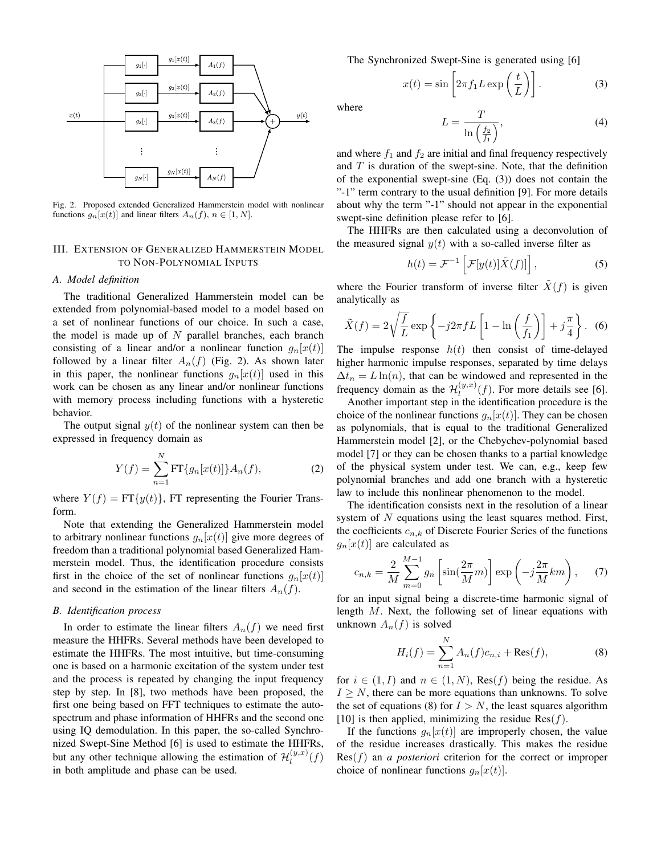

Fig. 2. Proposed extended Generalized Hammerstein model with nonlinear functions  $g_n[x(t)]$  and linear filters  $A_n(f)$ ,  $n \in [1, N].$ 

# III. EXTENSION OF GENERALIZED HAMMERSTEIN MODEL TO NON-POLYNOMIAL INPUTS

## *A. Model definition*

The traditional Generalized Hammerstein model can be extended from polynomial-based model to a model based on a set of nonlinear functions of our choice. In such a case, the model is made up of  $N$  parallel branches, each branch consisting of a linear and/or a nonlinear function  $g_n[x(t)]$ followed by a linear filter  $A_n(f)$  (Fig. 2). As shown later in this paper, the nonlinear functions  $g_n[x(t)]$  used in this work can be chosen as any linear and/or nonlinear functions with memory process including functions with a hysteretic behavior.

The output signal  $y(t)$  of the nonlinear system can then be expressed in frequency domain as

$$
Y(f) = \sum_{n=1}^{N} \text{FT}\{g_n[x(t)]\} A_n(f),\tag{2}
$$

where  $Y(f) = FT{y(t)}$ , FT representing the Fourier Transform.

Note that extending the Generalized Hammerstein model to arbitrary nonlinear functions  $g_n[x(t)]$  give more degrees of freedom than a traditional polynomial based Generalized Hammerstein model. Thus, the identification procedure consists first in the choice of the set of nonlinear functions  $g_n[x(t)]$ and second in the estimation of the linear filters  $A_n(f)$ .

## *B. Identification process*

In order to estimate the linear filters  $A_n(f)$  we need first measure the HHFRs. Several methods have been developed to estimate the HHFRs. The most intuitive, but time-consuming one is based on a harmonic excitation of the system under test and the process is repeated by changing the input frequency step by step. In [8], two methods have been proposed, the first one being based on FFT techniques to estimate the autospectrum and phase information of HHFRs and the second one using IQ demodulation. In this paper, the so-called Synchronized Swept-Sine Method [6] is used to estimate the HHFRs, but any other technique allowing the estimation of  $\mathcal{H}_l^{(y,x)}(f)$ in both amplitude and phase can be used.

The Synchronized Swept-Sine is generated using [6]

$$
x(t) = \sin\left[2\pi f_1 L \exp\left(\frac{t}{L}\right)\right].
$$
 (3)

where

$$
L = \frac{T}{\ln\left(\frac{f_2}{f_1}\right)},\tag{4}
$$

and where  $f_1$  and  $f_2$  are initial and final frequency respectively and  $T$  is duration of the swept-sine. Note, that the definition of the exponential swept-sine (Eq. (3)) does not contain the "-1" term contrary to the usual definition [9]. For more details about why the term "-1" should not appear in the exponential swept-sine definition please refer to [6].

The HHFRs are then calculated using a deconvolution of the measured signal  $y(t)$  with a so-called inverse filter as

$$
h(t) = \mathcal{F}^{-1}\left[\mathcal{F}[y(t)]\tilde{X}(f)\right],\tag{5}
$$

where the Fourier transform of inverse filter  $\tilde{X}(f)$  is given analytically as

$$
\tilde{X}(f) = 2\sqrt{\frac{f}{L}} \exp\left\{-j2\pi fL\left[1 - \ln\left(\frac{f}{f_1}\right)\right] + j\frac{\pi}{4}\right\}.
$$
 (6)

The impulse response  $h(t)$  then consist of time-delayed higher harmonic impulse responses, separated by time delays  $\Delta t_n = L \ln(n)$ , that can be windowed and represented in the frequency domain as the  $\mathcal{H}_l^{(y,x)}(f)$ . For more details see [6].

Another important step in the identification procedure is the choice of the nonlinear functions  $g_n[x(t)]$ . They can be chosen as polynomials, that is equal to the traditional Generalized Hammerstein model [2], or the Chebychev-polynomial based model [7] or they can be chosen thanks to a partial knowledge of the physical system under test. We can, e.g., keep few polynomial branches and add one branch with a hysteretic law to include this nonlinear phenomenon to the model.

The identification consists next in the resolution of a linear system of  $N$  equations using the least squares method. First, the coefficients  $c_{n,k}$  of Discrete Fourier Series of the functions  $g_n[x(t)]$  are calculated as

$$
c_{n,k} = \frac{2}{M} \sum_{m=0}^{M-1} g_n \left[ \sin\left(\frac{2\pi}{M}m\right) \right] \exp\left(-j\frac{2\pi}{M}km\right), \quad (7)
$$

for an input signal being a discrete-time harmonic signal of length  $M$ . Next, the following set of linear equations with unknown  $A_n(f)$  is solved

$$
H_i(f) = \sum_{n=1}^{N} A_n(f)c_{n,i} + \text{Res}(f),
$$
 (8)

for  $i \in (1, I)$  and  $n \in (1, N)$ , Res(f) being the residue. As  $I \geq N$ , there can be more equations than unknowns. To solve the set of equations (8) for  $I > N$ , the least squares algorithm [10] is then applied, minimizing the residue  $\text{Res}(f)$ .

If the functions  $g_n[x(t)]$  are improperly chosen, the value of the residue increases drastically. This makes the residue  $Res(f)$  an *a posteriori* criterion for the correct or improper choice of nonlinear functions  $g_n[x(t)]$ .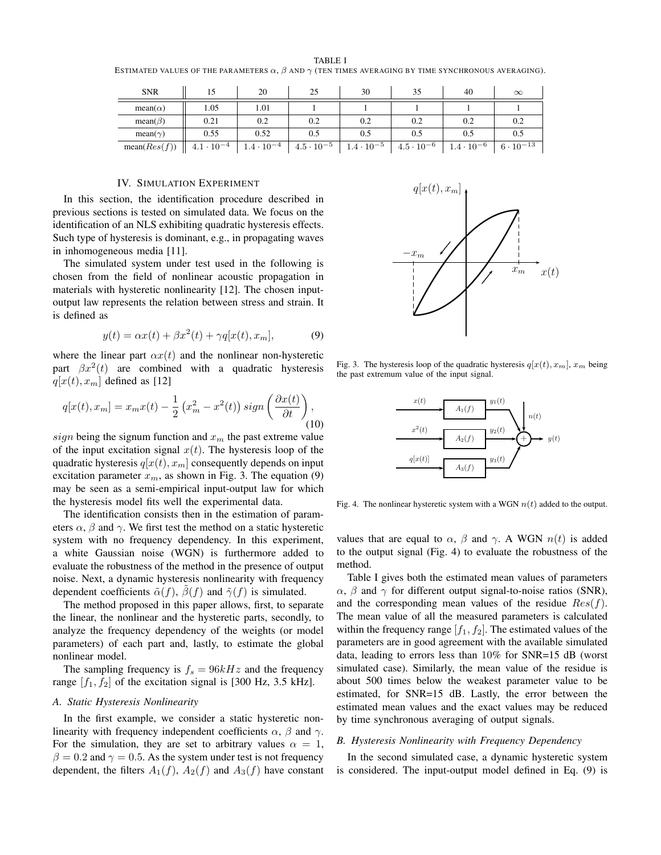| <b>TABLE I</b>                                                                                                          |  |
|-------------------------------------------------------------------------------------------------------------------------|--|
| ESTIMATED VALUES OF THE PARAMETERS $\alpha$ , $\beta$ and $\gamma$ (ten times averaging by time synchronous averaging). |  |

| <b>SNR</b>       |                     | 20                  | 25                  | 30                  | 35                  | 40                  | $\infty$           |
|------------------|---------------------|---------------------|---------------------|---------------------|---------------------|---------------------|--------------------|
| $mean(\alpha)$   | 1.05                | 1.01                |                     |                     |                     |                     |                    |
| mean( $\beta$ )  | 0.21                | 0.2                 | 0.2                 | 0.2                 | 0.2                 | 0.2                 | 0.2                |
| mean( $\gamma$ ) | 0.55                | 0.52                | 0.5                 | 0.5                 | 0.5                 | 0.5                 | 0.5                |
| mean(Res(f))     | $4.1 \cdot 10^{-4}$ | $1.4 \cdot 10^{-4}$ | $4.5 \cdot 10^{-5}$ | $1.4 \cdot 10^{-5}$ | $4.5 \cdot 10^{-6}$ | $1.4 \cdot 10^{-6}$ | $6 \cdot 10^{-13}$ |

#### IV. SIMULATION EXPERIMENT

In this section, the identification procedure described in previous sections is tested on simulated data. We focus on the identification of an NLS exhibiting quadratic hysteresis effects. Such type of hysteresis is dominant, e.g., in propagating waves in inhomogeneous media [11].

The simulated system under test used in the following is chosen from the field of nonlinear acoustic propagation in materials with hysteretic nonlinearity [12]. The chosen inputoutput law represents the relation between stress and strain. It is defined as

$$
y(t) = \alpha x(t) + \beta x^2(t) + \gamma q[x(t), x_m], \tag{9}
$$

where the linear part  $\alpha x(t)$  and the nonlinear non-hysteretic part  $\beta x^2(t)$  are combined with a quadratic hysteresis  $q[x(t), x_m]$  defined as [12]

$$
q[x(t), x_m] = x_m x(t) - \frac{1}{2} \left( x_m^2 - x^2(t) \right) sign \left( \frac{\partial x(t)}{\partial t} \right),\tag{10}
$$

sign being the signum function and  $x<sub>m</sub>$  the past extreme value of the input excitation signal  $x(t)$ . The hysteresis loop of the quadratic hysteresis  $q[x(t), x_m]$  consequently depends on input excitation parameter  $x_m$ , as shown in Fig. 3. The equation (9) may be seen as a semi-empirical input-output law for which the hysteresis model fits well the experimental data.

The identification consists then in the estimation of parameters  $\alpha$ ,  $\beta$  and  $\gamma$ . We first test the method on a static hysteretic system with no frequency dependency. In this experiment, a white Gaussian noise (WGN) is furthermore added to evaluate the robustness of the method in the presence of output noise. Next, a dynamic hysteresis nonlinearity with frequency dependent coefficients  $\tilde{\alpha}(f)$ ,  $\beta(f)$  and  $\tilde{\gamma}(f)$  is simulated.

The method proposed in this paper allows, first, to separate the linear, the nonlinear and the hysteretic parts, secondly, to analyze the frequency dependency of the weights (or model parameters) of each part and, lastly, to estimate the global nonlinear model.

The sampling frequency is  $f_s = 96kHz$  and the frequency range  $[f_1, f_2]$  of the excitation signal is [300 Hz, 3.5 kHz].

## *A. Static Hysteresis Nonlinearity*

In the first example, we consider a static hysteretic nonlinearity with frequency independent coefficients  $\alpha$ ,  $\beta$  and  $\gamma$ . For the simulation, they are set to arbitrary values  $\alpha = 1$ ,  $\beta = 0.2$  and  $\gamma = 0.5$ . As the system under test is not frequency dependent, the filters  $A_1(f)$ ,  $A_2(f)$  and  $A_3(f)$  have constant



Fig. 3. The hysteresis loop of the quadratic hysteresis  $q[x(t), x_m], x_m$  being the past extremum value of the input signal.



Fig. 4. The nonlinear hysteretic system with a WGN  $n(t)$  added to the output.

values that are equal to  $\alpha$ ,  $\beta$  and  $\gamma$ . A WGN  $n(t)$  is added to the output signal (Fig. 4) to evaluate the robustness of the method.

Table I gives both the estimated mean values of parameters  $\alpha$ ,  $\beta$  and  $\gamma$  for different output signal-to-noise ratios (SNR), and the corresponding mean values of the residue  $Res(f)$ . The mean value of all the measured parameters is calculated within the frequency range  $[f_1, f_2]$ . The estimated values of the parameters are in good agreement with the available simulated data, leading to errors less than 10% for SNR=15 dB (worst simulated case). Similarly, the mean value of the residue is about 500 times below the weakest parameter value to be estimated, for SNR=15 dB. Lastly, the error between the estimated mean values and the exact values may be reduced by time synchronous averaging of output signals.

## *B. Hysteresis Nonlinearity with Frequency Dependency*

In the second simulated case, a dynamic hysteretic system is considered. The input-output model defined in Eq. (9) is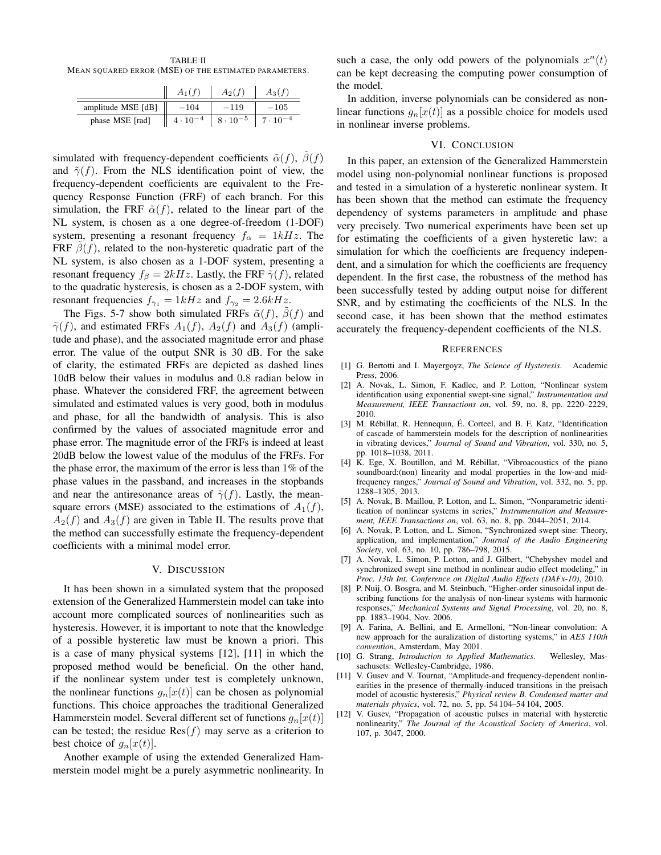TABLE II MEAN SQUARED ERROR (MSE) OF THE ESTIMATED PARAMETERS.

|                    |                   |                   | Aзı      |
|--------------------|-------------------|-------------------|----------|
| amplitude MSE [dB] | 104               |                   | $-105\,$ |
| phase MSE [rad]    | $4 \cdot 10^{-4}$ | $8 \cdot 10^{-5}$ |          |

simulated with frequency-dependent coefficients  $\tilde{\alpha}(f)$ ,  $\tilde{\beta}(f)$ and  $\tilde{\gamma}(f)$ . From the NLS identification point of view, the frequency-dependent coefficients are equivalent to the Frequency Response Function (FRF) of each branch. For this simulation, the FRF  $\tilde{\alpha}(f)$ , related to the linear part of the NL system, is chosen as a one degree-of-freedom (1-DOF) system, presenting a resonant frequency  $f_{\alpha} = 1kHz$ . The FRF  $\beta(f)$ , related to the non-hysteretic quadratic part of the NL system, is also chosen as a 1-DOF system, presenting a resonant frequency  $f_{\beta} = 2kHz$ . Lastly, the FRF  $\tilde{\gamma}(f)$ , related to the quadratic hysteresis, is chosen as a 2-DOF system, with resonant frequencies  $f_{\gamma_1} = 1kHz$  and  $f_{\gamma_2} = 2.6kHz$ .

The Figs. 5-7 show both simulated FRFs  $\tilde{\alpha}(f)$ ,  $\tilde{\beta}(f)$  and  $\tilde{\gamma}(f)$ , and estimated FRFs  $A_1(f)$ ,  $A_2(f)$  and  $A_3(f)$  (amplitude and phase), and the associated magnitude error and phase error. The value of the output SNR is 30 dB. For the sake of clarity, the estimated FRFs are depicted as dashed lines 10dB below their values in modulus and 0.8 radian below in phase. Whatever the considered FRF, the agreement between simulated and estimated values is very good, both in modulus and phase, for all the bandwidth of analysis. This is also confirmed by the values of associated magnitude error and phase error. The magnitude error of the FRFs is indeed at least 20dB below the lowest value of the modulus of the FRFs. For the phase error, the maximum of the error is less than 1% of the phase values in the passband, and increases in the stopbands and near the antiresonance areas of  $\tilde{\gamma}(f)$ . Lastly, the meansquare errors (MSE) associated to the estimations of  $A_1(f)$ ,  $A_2(f)$  and  $A_3(f)$  are given in Table II. The results prove that the method can successfully estimate the frequency-dependent coefficients with a minimal model error.

## V. DISCUSSION

It has been shown in a simulated system that the proposed extension of the Generalized Hammerstein model can take into account more complicated sources of nonlinearities such as hysteresis. However, it is important to note that the knowledge of a possible hysteretic law must be known a priori. This is a case of many physical systems [12], [11] in which the proposed method would be beneficial. On the other hand, if the nonlinear system under test is completely unknown, the nonlinear functions  $g_n[x(t)]$  can be chosen as polynomial functions. This choice approaches the traditional Generalized Hammerstein model. Several different set of functions  $g_n[x(t)]$ can be tested; the residue  $\text{Res}(f)$  may serve as a criterion to best choice of  $g_n[x(t)]$ .

Another example of using the extended Generalized Hammerstein model might be a purely asymmetric nonlinearity. In such a case, the only odd powers of the polynomials  $x^n(t)$ can be kept decreasing the computing power consumption of the model.

In addition, inverse polynomials can be considered as nonlinear functions  $g_n[x(t)]$  as a possible choice for models used in nonlinear inverse problems.

#### VI. CONCLUSION

In this paper, an extension of the Generalized Hammerstein model using non-polynomial nonlinear functions is proposed and tested in a simulation of a hysteretic nonlinear system. It has been shown that the method can estimate the frequency dependency of systems parameters in amplitude and phase very precisely. Two numerical experiments have been set up for estimating the coefficients of a given hysteretic law: a simulation for which the coefficients are frequency independent, and a simulation for which the coefficients are frequency dependent. In the first case, the robustness of the method has been successfully tested by adding output noise for different SNR, and by estimating the coefficients of the NLS. In the second case, it has been shown that the method estimates accurately the frequency-dependent coefficients of the NLS.

#### **REFERENCES**

- [1] G. Bertotti and I. Mayergoyz, *The Science of Hysteresis*. Academic Press, 2006.
- [2] A. Novak, L. Simon, F. Kadlec, and P. Lotton, "Nonlinear system identification using exponential swept-sine signal," *Instrumentation and Measurement, IEEE Transactions on*, vol. 59, no. 8, pp. 2220–2229, 2010.
- [3] M. Rébillat, R. Hennequin, É. Corteel, and B. F. Katz, "Identification of cascade of hammerstein models for the description of nonlinearities in vibrating devices," *Journal of Sound and Vibration*, vol. 330, no. 5, pp. 1018–1038, 2011.
- [4] K. Ege, X. Boutillon, and M. Rébillat, "Vibroacoustics of the piano soundboard:(non) linearity and modal properties in the low-and midfrequency ranges," *Journal of Sound and Vibration*, vol. 332, no. 5, pp. 1288–1305, 2013.
- [5] A. Novak, B. Maillou, P. Lotton, and L. Simon, "Nonparametric identification of nonlinear systems in series," *Instrumentation and Measurement, IEEE Transactions on*, vol. 63, no. 8, pp. 2044–2051, 2014.
- [6] A. Novak, P. Lotton, and L. Simon, "Synchronized swept-sine: Theory, application, and implementation," *Journal of the Audio Engineering Society*, vol. 63, no. 10, pp. 786–798, 2015.
- [7] A. Novak, L. Simon, P. Lotton, and J. Gilbert, "Chebyshev model and synchronized swept sine method in nonlinear audio effect modeling," in *Proc. 13th Int. Conference on Digital Audio Effects (DAFx-10)*, 2010.
- [8] P. Nuij, O. Bosgra, and M. Steinbuch, "Higher-order sinusoidal input describing functions for the analysis of non-linear systems with harmonic responses," *Mechanical Systems and Signal Processing*, vol. 20, no. 8, pp. 1883–1904, Nov. 2006.
- [9] A. Farina, A. Bellini, and E. Armelloni, "Non-linear convolution: A new approach for the auralization of distorting systems," in *AES 110th convention*, Amsterdam, May 2001.
- [10] G. Strang, *Introduction to Applied Mathematics*. Wellesley, Massachusets: Wellesley-Cambridge, 1986.
- [11] V. Gusev and V. Tournat, "Amplitude-and frequency-dependent nonlinearities in the presence of thermally-induced transitions in the preisach model of acoustic hysteresis," *Physical review B. Condensed matter and materials physics*, vol. 72, no. 5, pp. 54 104–54 104, 2005.
- [12] V. Gusev, "Propagation of acoustic pulses in material with hysteretic nonlinearity," *The Journal of the Acoustical Society of America*, vol. 107, p. 3047, 2000.